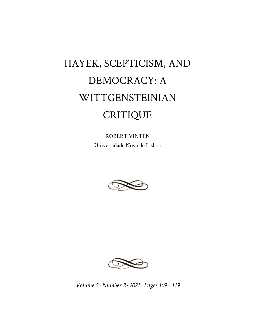## HAYEK, SCEPTICISM, AND DEMOCRACY: A WITTGENSTEINIAN CRITIQUE

ROBERT VINTEN Universidade Nova de Lisboa





*Volume 5 · Number 2 · 2021 · Pages 109 - 119*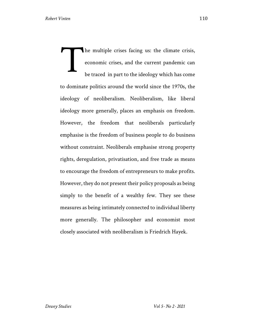he multiple crises facing us: the climate crisis, economic crises, and the current pandemic can be traced in part to the ideology which has come to dominate politics around the world since the 1970s, the ideology of neoliberalism. Neoliberalism, like liberal ideology more generally, places an emphasis on freedom. However, the freedom that neoliberals particularly emphasise is the freedom of business people to do business without constraint. Neoliberals emphasise strong property rights, deregulation, privatisation, and free trade as means to encourage the freedom of entrepreneurs to make profits. However, they do not present their policy proposals as being simply to the benefit of a wealthy few. They see these measures as being intimately connected to individual liberty more generally. The philosopher and economist most closely associated with neoliberalism is Friedrich Hayek. T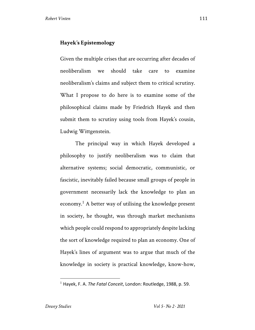## **Hayek's Epistemology**

Given the multiple crises that are occurring after decades of neoliberalism we should take care to examine neoliberalism's claims and subject them to critical scrutiny. What I propose to do here is to examine some of the philosophical claims made by Friedrich Hayek and then submit them to scrutiny using tools from Hayek's cousin, Ludwig Wittgenstein.

The principal way in which Hayek developed a philosophy to justify neoliberalism was to claim that alternative systems; social democratic, communistic, or fascistic, inevitably failed because small groups of people in government necessarily lack the knowledge to plan an economy.<sup>1</sup> A better way of utilising the knowledge present in society, he thought, was through market mechanisms which people could respond to appropriately despite lacking the sort of knowledge required to plan an economy. One of Hayek's lines of argument was to argue that much of the knowledge in society is practical knowledge, know-how,

<sup>1</sup> Hayek, F. A. *The Fatal Conceit*, London: Routledge, 1988, p. 59.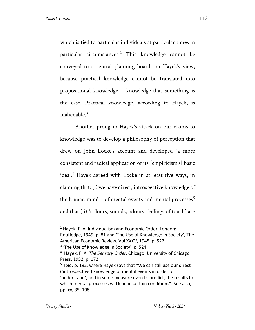which is tied to particular individuals at particular times in particular circumstances.<sup>2</sup> This knowledge cannot be conveyed to a central planning board, on Hayek's view, because practical knowledge cannot be translated into propositional knowledge – knowledge-that something is the case. Practical knowledge, according to Hayek, is inalienable.<sup>3</sup>

Another prong in Hayek's attack on our claims to knowledge was to develop a philosophy of perception that drew on John Locke's account and developed "a more consistent and radical application of its [empiricism's] basic idea".4 Hayek agreed with Locke in at least five ways, in claiming that: (i) we have direct, introspective knowledge of the human mind – of mental events and mental processes<sup>5</sup> and that (ii) "colours, sounds, odours, feelings of touch" are

 $2$  Hayek, F. A. Individualism and Economic Order, London: Routledge, 1949, p. 81 and 'The Use of Knowledge in Society', The American Economic Review, Vol XXXV, 1945, p. 522.

<sup>&</sup>lt;sup>3</sup> 'The Use of Knowledge in Society', p. 524.

<sup>4</sup> Hayek, F. A. *The Sensory Order*, Chicago: University of Chicago Press, 1952, p. 172.

 $5$  Ibid. p. 192, where Hayek says that "We can still use our direct ('introspective') knowledge of mental events in order to 'understand', and in some measure even to predict, the results to which mental processes will lead in certain conditions". See also, pp. xx, 35, 108.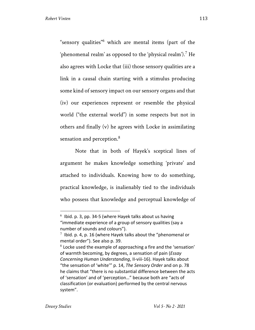"sensory qualities"<sup>6</sup> which are mental items (part of the 'phenomenal realm' as opposed to the 'physical realm').<sup>7</sup> He also agrees with Locke that (iii) those sensory qualities are a link in a causal chain starting with a stimulus producing some kind of sensory impact on our sensory organs and that (iv) our experiences represent or resemble the physical world ("the external world") in some respects but not in others and finally (v) he agrees with Locke in assimilating sensation and perception.<sup>8</sup>

Note that in both of Hayek's sceptical lines of argument he makes knowledge something 'private' and attached to individuals. Knowing how to do something, practical knowledge, is inalienably tied to the individuals who possess that knowledge and perceptual knowledge of

 $6$  Ibid. p. 3, pp. 34-5 (where Hayek talks about us having "immediate experience of a group of sensory qualities (say a number of sounds and colours").

 $7$  Ibid. p. 4, p. 16 (where Hayek talks about the "phenomenal or mental order"). See also p. 39.

 $8$  Locke used the example of approaching a fire and the 'sensation' of warmth becoming, by degrees, a sensation of pain (*Essay Concerning Human Understanding*, II-viii-16). Hayek talks about "the sensation of 'white'" p. 14, *The Sensory Order* and on p. 78 he claims that "there is no substantial difference between the acts of 'sensation' and of 'perception…" because both are "acts of classification (or evaluation) performed by the central nervous system".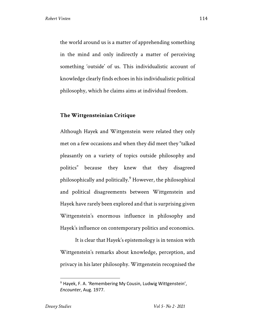the world around us is a matter of apprehending something in the mind and only indirectly a matter of perceiving something 'outside' of us. This individualistic account of knowledge clearly finds echoes in his individualistic political philosophy, which he claims aims at individual freedom.

## **The Wittgensteinian Critique**

Although Hayek and Wittgenstein were related they only met on a few occasions and when they did meet they "talked pleasantly on a variety of topics outside philosophy and politics" because they knew that they disagreed philosophically and politically.9 However, the philosophical and political disagreements between Wittgenstein and Hayek have rarely been explored and that is surprising given Wittgenstein's enormous influence in philosophy and Hayek's influence on contemporary politics and economics.

It is clear that Hayek's epistemology is in tension with Wittgenstein's remarks about knowledge, perception, and privacy in his later philosophy. Wittgenstein recognised the

 $9$  Hayek, F. A. 'Remembering My Cousin, Ludwig Wittgenstein', *Encounter*, Aug. 1977.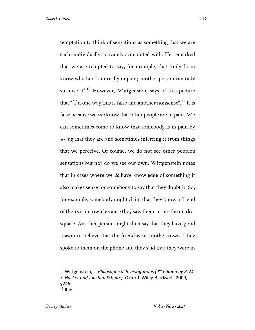temptation to think of sensations as something that we are each, individually, privately acquainted with. He remarked that we are tempted to say, for example, that "only I can know whether I am really in pain; another person can only surmise it".<sup>10</sup> However, Wittgenstein says of this picture that "[i]n one way this is false and another nonsense".<sup>11</sup> It is false because we *can* know that other people are in pain. We can sometimes come to know that somebody is in pain by *seeing* that they are and sometimes inferring it from things that we perceive. Of course, we do not see other people's sensations but nor do we see our own. Wittgenstein notes that in cases where we *do* have knowledge of something it also makes sense for somebody to say that they doubt it. So, for example, somebody might claim that they know a friend of theirs is in town because they saw them across the market square. Another person might then say that they have good reason to believe that the friend is in another town. They spoke to them on the phone and they said that they were in

<sup>10</sup> Wittgenstein, L. *Philosophical Investigations (4th edition by P. M. S. Hacker and Joachim Schulte)*, Oxford: Wiley-Blackwell, 2009, §246.  $11$  Ibid.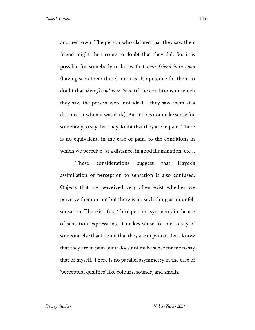another town. The person who claimed that they saw their friend might then come to doubt that they did. So, it is possible for somebody to know that *their friend is in town* (having seen them there) but it is also possible for them to doubt that *their friend is in town* (if the conditions in which they saw the person were not ideal – they saw them at a distance or when it was dark). But it does not make sense for somebody to say that they doubt that they are in pain. There is no equivalent, in the case of pain, to the conditions in which we perceive (at a distance, in good illumination, etc.).

These considerations suggest that Hayek's assimilation of perception to sensation is also confused. Objects that are perceived very often exist whether we perceive them or not but there is no such thing as an unfelt sensation. There is a first/third person asymmetry in the use of sensation expressions. It makes sense for me to say of someone else that I doubt that they are in pain or that I know that they are in pain but it does not make sense for me to say that of myself. There is no parallel asymmetry in the case of 'perceptual qualities' like colours, sounds, and smells.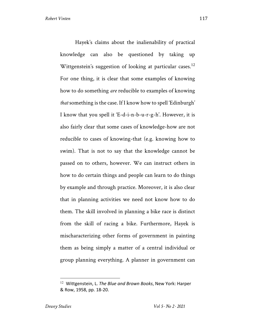Hayek's claims about the inalienability of practical knowledge can also be questioned by taking up Wittgenstein's suggestion of looking at particular cases.<sup>12</sup> For one thing, it is clear that some examples of knowing how to do something *are* reducible to examples of knowing *that* something is the case. If I know how to spell 'Edinburgh' I know that you spell it 'E-d-i-n-b-u-r-g-h'. However, it is also fairly clear that some cases of knowledge-how are not reducible to cases of knowing-that (e.g. knowing how to swim). That is not to say that the knowledge cannot be passed on to others, however. We can instruct others in how to do certain things and people can learn to do things by example and through practice. Moreover, it is also clear that in planning activities we need not know how to do them. The skill involved in planning a bike race is distinct from the skill of racing a bike. Furthermore, Hayek is mischaracterizing other forms of government in painting them as being simply a matter of a central individual or group planning everything. A planner in government can

<sup>12</sup> Wittgenstein, L. *The Blue and Brown Books*, New York: Harper & Row, 1958, pp. 18-20.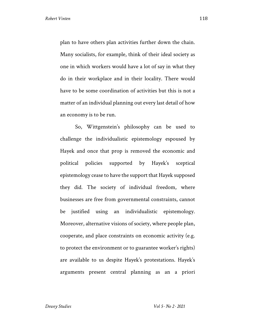plan to have others plan activities further down the chain. Many socialists, for example, think of their ideal society as one in which workers would have a lot of say in what they do in their workplace and in their locality. There would have to be some coordination of activities but this is not a matter of an individual planning out every last detail of how an economy is to be run.

So, Wittgenstein's philosophy can be used to challenge the individualistic epistemology espoused by Hayek and once that prop is removed the economic and political policies supported by Hayek's sceptical epistemology cease to have the support that Hayek supposed they did. The society of individual freedom, where businesses are free from governmental constraints, cannot be justified using an individualistic epistemology. Moreover, alternative visions of society, where people plan, cooperate, and place constraints on economic activity (e.g. to protect the environment or to guarantee worker's rights) are available to us despite Hayek's protestations. Hayek's arguments present central planning as an a priori